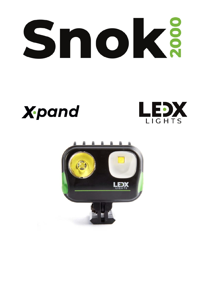# Snokä





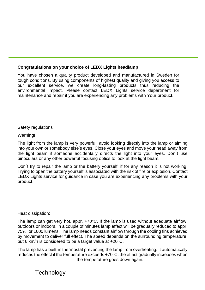# **Congratulations on your choice of LEDX Lights headlamp**

You have chosen a quality product developed and manufactured in Sweden for tough conditions. By using components of highest quality and giving you access to our excellent service, we create long-lasting products thus reducing the environmental impact. Please contact LEDX Lights service department for maintenance and repair if you are experiencing any problems with Your product.

Safety regulations

Warning!

The light from the lamp is very powerful, avoid looking directly into the lamp or aiming into your own or somebody else's eyes. Close your eyes and move your head away from the light beam if someone accidentally directs the light into your eyes. Don´t use binoculars or any other powerful focusing optics to look at the light beam.

Don´t try to repair the lamp or the battery yourself, if for any reason it is not working. Trying to open the battery yourself is associated with the risk of fire or explosion. Contact LEDX Lights service for guidance in case you are experiencing any problems with your product.

Heat dissipation:

The lamp can get very hot, appr. +70°C. If the lamp is used without adequate airflow, outdoors or indoors, in a couple of minutes lamp effect will be gradually reduced to appr. 75%, or 1600 lumens. The lamp needs constant airflow through the cooling fins achieved by movement to deliver full effect. The speed depends on the surrounding temperature, but 6 km/h is considered to be a target value at +20°C.

The lamp has a built-in thermostat preventing the lamp from overheating. It automatically reduces the effect if the temperature exceeds  $+70^{\circ}$ C, the effect gradually increases when the temperature goes down again.

**Technology**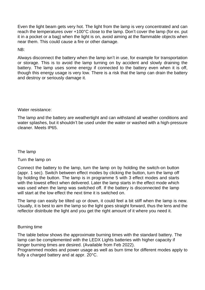Even the light beam gets very hot. The light from the lamp is very concentrated and can reach the temperatures over +100°C close to the lamp. Don't cover the lamp (for ex. put it in a pocket or a bag) when the light is on, avoid aiming at the flammable objects when near them. This could cause a fire or other damage.

 $NR·$ 

Always disconnect the battery when the lamp isn't in use, for example for transportation or storage. This is to avoid the lamp turning on by accident and slowly draining the battery. The lamp uses some energy if connected to the battery even when it is off, though this energy usage is very low. There is a risk that the lamp can drain the battery and destroy or seriously damage it.

Water resistance:

The lamp and the battery are weathertight and can withstand all weather conditions and water splashes, but it shouldn't be used under the water or washed with a high-pressure cleaner. Meets IP65.

The lamp

Turn the lamp on

Connect the battery to the lamp, turn the lamp on by holding the switch-on button (appr. 1 sec). Switch between effect modes by clicking the button, turn the lamp off by holding the button. The lamp is in programme 5 with 3 effect modes and starts with the lowest effect when delivered. Later the lamp starts in the effect mode which was used when the lamp was switched off. If the battery is disconnected the lamp will start at the low effect the next time it is switched on.

The lamp can easily be tilted up or down, it could feel a bit stiff when the lamp is new. Usually, it is best to aim the lamp so the light goes straight forward, thus the lens and the reflector distribute the light and you get the right amount of it where you need it.

### Burning time

The table below shows the approximate burning times with the standard battery. The lamp can be complemented with the LEDX Lights batteries with higher capacity if longer burning times are desired. (Available from Feb 2022).

Programmed modes and power usage as well as burn time for different modes apply to fully a charged battery and at appr. 20°C.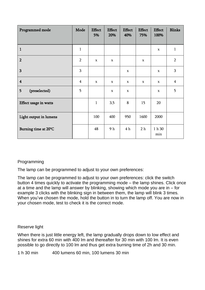| Programmed mode         | Mode           | <b>Effect</b><br>5% | <b>Effect</b><br>20% | <b>Effect</b><br>40% | <b>Effect</b><br>75% | <b>Effect</b><br>100% | <b>Blinks</b>  |
|-------------------------|----------------|---------------------|----------------------|----------------------|----------------------|-----------------------|----------------|
| $\mathbf{1}$            | $\mathbf{1}$   |                     |                      |                      |                      | $\mathbf x$           | $\mathbf{1}$   |
| $\overline{2}$          | $\overline{2}$ | $\mathbf x$         | $\mathbf x$          |                      | $\mathbf x$          |                       | $\overline{2}$ |
| 3                       | 3              |                     |                      | $\mathbf x$          |                      | $\mathbf x$           | 3              |
| $\overline{\mathbf{4}}$ | 4              | $\mathbf x$         | $\mathbf x$          | $\mathbf x$          | $\mathbf x$          | $\mathbf x$           | $\overline{4}$ |
| 5<br>(preselected)      | 5              |                     | $\mathbf x$          | $\mathbf x$          |                      | $\mathbf x$           | 5              |
| Effect usage in watts   |                | $\mathbf{1}$        | 3,5                  | 8                    | 15                   | 20                    |                |
| Light output in lumens  |                | 100                 | 400                  | 950                  | 1600                 | 2000                  |                |
| Burning time at 20°C    |                | 48                  | 9 h                  | 4 <sub>h</sub>       | 2 <sub>h</sub>       | 1 h 30<br>min         |                |

# Programming

The lamp can be programmed to adjust to your own preferences:

The lamp can be programmed to adjust to your own preferences: click the switch button 4 times quickly to activate the programming mode – the lamp shines. Click once at a time and the lamp will answer by blinking, showing which mode you are in – for example 3 clicks with the blinking sign in between them, the lamp will blink 3 times. When you've chosen the mode, hold the button in to turn the lamp off. You are now in your chosen mode, test to check it is the correct mode.

# Reserve light

When there is just little energy left, the lamp gradually drops down to low effect and shines for extra 60 min with 400 lm and thereafter for 30 min with 100 lm. It is even possible to go directly to 100 lm and thus get extra burning time of 2h and 30 min.

1 h 30 min 400 lumens 60 min, 100 lumens 30 min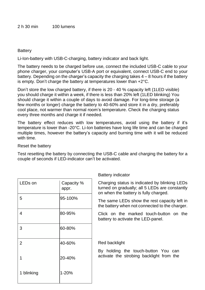## **Battery**

Li-Ion-battery with USB-C-charging, battery indicator and back light.

The battery needs to be charged before use, connect the included USB-C cable to your phone charger, your computer's USB-A port or equivalent, connect USB-C end to your battery. Depending on the charger's capacity the charging takes  $4 - 8$  hours if the battery is empty. Don't charge the battery at temperatures lower than +2°C.

Don't store the low charged battery, if there is 20 - 40 % capacity left (1LED visible) you should charge it within a week, if there is less than 20% left (1LED blinking) You should charge it within a couple of days to avoid damage. For long-time storage (a few months or longer) charge the battery to 40-60% and store it in a dry, preferably cool place, not warmer than normal room's temperature. Check the charging status every three months and charge it if needed.

The battery effect reduces with low temperatures, avoid using the battery if it's temperature is lower than -20°C. Li-Ion batteries have long life time and can be charged multiple times, however the battery's capacity and burning time with it will be reduced with time.

### Reset the battery

Test resetting the battery by connecting the USB-C cable and charging the battery for a couple of seconds if LED-indicator can't be activated.

Battery indicator

| LED <sub>s</sub> on | Capacity %<br>appr. | Charging status is indicated by blinking LEDs<br>turned on gradually; all 5 LEDs are constantly<br>on when the battery is fully charged. |  |  |  |  |
|---------------------|---------------------|------------------------------------------------------------------------------------------------------------------------------------------|--|--|--|--|
| 5                   | 95-100%             | The same LEDs show the rest capacity left in<br>the battery when not connected to the charger.                                           |  |  |  |  |
| 4                   | 80-95%              | Click on the marked touch-button on the<br>battery to activate the LED-panel.                                                            |  |  |  |  |
| 3                   | 60-80%              |                                                                                                                                          |  |  |  |  |
| 2                   | 40-60%              | Red backlight<br>By holding the touch-button You can                                                                                     |  |  |  |  |
| 1                   | 20-40%              | activate the strobing backlight from the                                                                                                 |  |  |  |  |
| 1 blinking          | 1-20%               |                                                                                                                                          |  |  |  |  |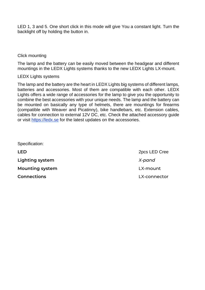LED 1, 3 and 5. One short click in this mode will give You a constant light. Turn the backlight off by holding the button in.

## Click mounting

The lamp and the battery can be easily moved between the headgear and different mountings in the LEDX Lights systems thanks to the new LEDX Lights LX-mount.

# LEDX Lights systems

The lamp and the battery are the heart in LEDX Lights big systems of different lamps, batteries and accessories. Most of them are compatible with each other. LEDX Lights offers a wide range of accessories for the lamp to give you the opportunity to combine the best accessories with your unique needs. The lamp and the battery can be mounted on basically any type of helmets, there are mountings for firearms (compatible with Weaver and Picatinny), bike handlebars, etc. Extension cables, cables for connection to external 12V DC, etc. Check the attached accessory guide or visit [https://ledx.se](https://ledx.se/) for the latest updates on the accessories.

| Specification:     |               |
|--------------------|---------------|
| LED                | 2pcs LED Cree |
| Lighting system    | X-pand        |
| Mounting system    | LX-mount      |
| <b>Connections</b> | LX-connector  |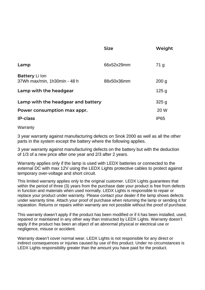|                                                                   | Size       | Weight                   |
|-------------------------------------------------------------------|------------|--------------------------|
| Lamp                                                              | 66x52x29mm | 71 g                     |
| Battery Li lon<br>37Wh max/min, 1h30min - 48 h                    | 88x50x36mm | 200 <sub>q</sub>         |
| Lamp with the headgear                                            |            | 125 <sub>g</sub>         |
| Lamp with the headgear and battery<br>Power consumption max appr. |            | 325 <sub>g</sub><br>20 W |
| <b>IP-class</b>                                                   |            | IP65                     |
|                                                                   |            |                          |

### **Warranty**

3 year warranty against manufacturing defects on Snok 2000 as well as all the other parts in the system except the battery where the following applies.

3 year warranty against manufacturing defects on the battery but with the deduction of 1/3 of a new price after one year and 2/3 after 2 years.

Warranty applies only if the lamp is used with LEDX batteries or connected to the external DC with max 12V using the LEDX Lights protective cables to protect against temporary over-voltage and short circuit.

This limited warranty applies only to the original customer. LEDX Lights guarantees that within the period of three (3) years from the purchase date your product is free from defects in function and materials when used normally. LEDX Lights is responsible to repair or replace your product under warranty. Please contact your dealer if the lamp shows defects under warranty time. Attach your proof of purchase when returning the lamp or sending it for reparation. Returns or repairs within warranty are not possible without the proof of purchase.

This warranty doesn't apply if the product has been modified or if it has been installed, used, repaired or maintained in any other way than instructed by LEDX Lights. Warranty doesn't apply if the product has been an object of an abnormal physical or electrical use or negligence, misuse or accident.

Warranty doesn't cover normal wear. LEDX Lights is not responsible for any direct or indirect consequences or injuries caused by use of this product. Under no circumstances is LEDX Lights responsibility greater than the amount you have paid for the product.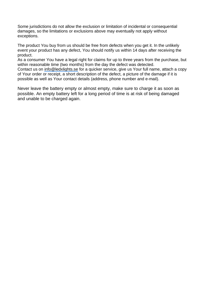Some jurisdictions do not allow the exclusion or limitation of incidental or consequential damages, so the limitations or exclusions above may eventually not apply without exceptions.

The product You buy from us should be free from defects when you get it. In the unlikely event your product has any defect, You should notify us within 14 days after receiving the product.

As a consumer You have a legal right for claims for up to three years from the purchase, but within reasonable time (two months) from the day the defect was detected.

Contact us on [info@ledxlights.se](mailto:info@ledxlights.se) for a quicker service, give us Your full name, attach a copy of Your order or receipt, a short description of the defect, a picture of the damage if it is possible as well as Your contact details (address, phone number and e-mail).

Never leave the battery empty or almost empty, make sure to charge it as soon as possible. An empty battery left for a long period of time is at risk of being damaged and unable to be charged again.